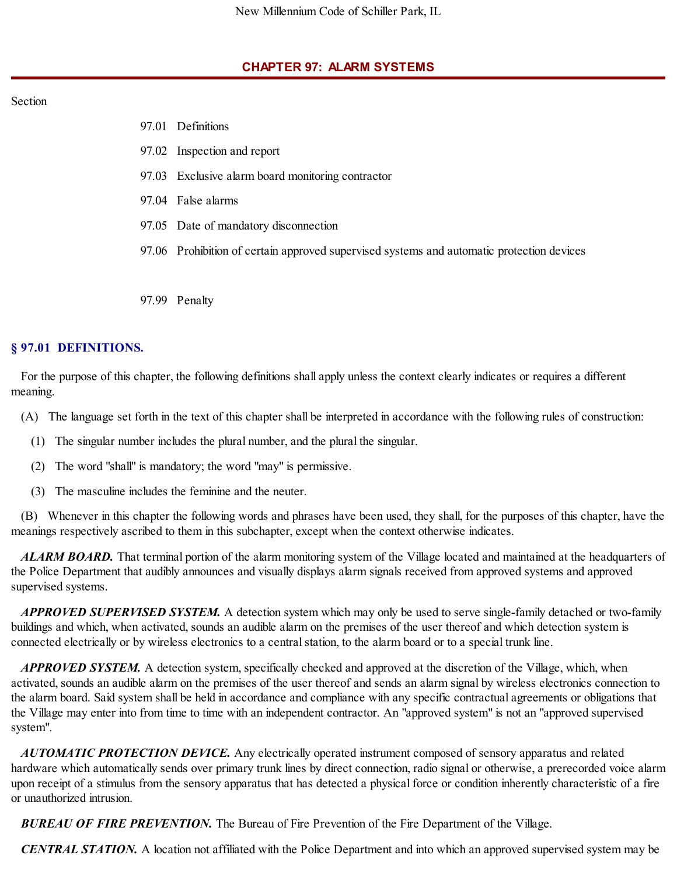## **CHAPTER 97: ALARM SYSTEMS**

### Section

- 97.01 Definitions
- 97.02 Inspection and report
- 97.03 Exclusive alarm board monitoring contractor
- 97.04 False alarms
- 97.05 Date of mandatory disconnection
- 97.06 Prohibition of certain approved supervised systems and automatic protection devices
- 97.99 Penalty

## **§ 97.01 DEFINITIONS.**

For the purpose of this chapter, the following definitions shall apply unless the context clearly indicates or requires a different meaning.

- (A) The language set forth in the text of this chapter shall be interpreted in accordance with the following rules of construction:
	- (1) The singular number includes the plural number, and the plural the singular.
	- (2) The word "shall" is mandatory; the word "may" is permissive.
	- (3) The masculine includes the feminine and the neuter.

(B) Whenever in this chapter the following words and phrases have been used, they shall, for the purposes of this chapter, have the meanings respectively ascribed to them in this subchapter, except when the context otherwise indicates.

*ALARM BOARD.* That terminal portion of the alarm monitoring system of the Village located and maintained at the headquarters of the Police Department that audibly announces and visually displays alarm signals received from approved systems and approved supervised systems.

*APPROVED SUPERVISED SYSTEM.* A detection system which may only be used to serve single-family detached or two-family buildings and which, when activated, sounds an audible alarm on the premises of the user thereof and which detection system is connected electrically or by wireless electronics to a central station, to the alarm board or to a special trunk line.

*APPROVED SYSTEM.* A detection system, specifically checked and approved at the discretion of the Village, which, when activated, sounds an audible alarm on the premises of the user thereof and sends an alarm signal by wireless electronics connection to the alarm board. Said system shall be held in accordance and compliance with any specific contractual agreements or obligations that the Village may enter into from time to time with an independent contractor. An "approved system" is not an "approved supervised system".

*AUTOMATIC PROTECTION DEVICE.* Any electrically operated instrument composed of sensory apparatus and related hardware which automatically sends over primary trunk lines by direct connection, radio signal or otherwise, a prerecorded voice alarm upon receipt of a stimulus from the sensory apparatus that has detected a physical force or condition inherently characteristic of a fire or unauthorized intrusion.

*BUREAU OF FIRE PREVENTION.* The Bureau of Fire Prevention of the Fire Department of the Village.

*CENTRAL STATION.* A location not affiliated with the Police Department and into which an approved supervised system may be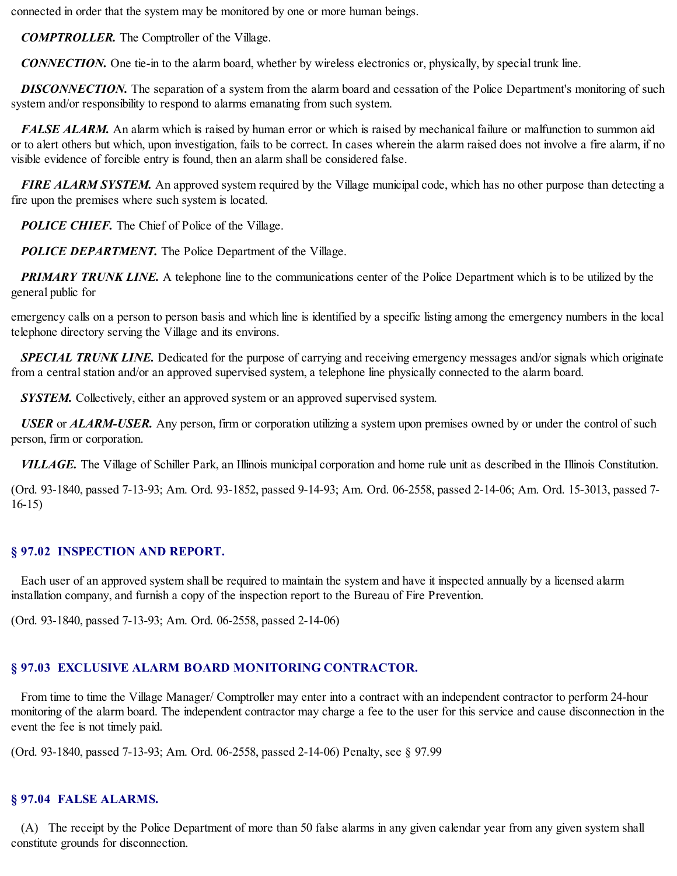connected in order that the system may be monitored by one or more human beings.

*COMPTROLLER.* The Comptroller of the Village.

*CONNECTION.* One tie-in to the alarm board, whether by wireless electronics or, physically, by special trunk line.

**DISCONNECTION.** The separation of a system from the alarm board and cessation of the Police Department's monitoring of such system and/or responsibility to respond to alarms emanating from such system.

*FALSE ALARM.* An alarm which is raised by human error or which is raised by mechanical failure or malfunction to summon aid or to alert others but which, upon investigation, fails to be correct. In cases wherein the alarm raised does not involve a fire alarm, if no visible evidence of forcible entry is found, then an alarm shall be considered false.

*FIRE ALARM SYSTEM.* An approved system required by the Village municipal code, which has no other purpose than detecting a fire upon the premises where such system is located.

*POLICE CHIEF.* The Chief of Police of the Village.

*POLICE DEPARTMENT*. The Police Department of the Village.

*PRIMARY TRUNK LINE.* A telephone line to the communications center of the Police Department which is to be utilized by the general public for

emergency calls on a person to person basis and which line is identified by a specific listing among the emergency numbers in the local telephone directory serving the Village and its environs.

*SPECIAL TRUNK LINE.* Dedicated for the purpose of carrying and receiving emergency messages and/or signals which originate from a central station and/or an approved supervised system, a telephone line physically connected to the alarm board.

*SYSTEM.* Collectively, either an approved system or an approved supervised system.

*USER* or *ALARM-USER.* Any person, firm or corporation utilizing a system upon premises owned by or under the control of such person, firm or corporation.

*VILLAGE.* The Village of Schiller Park, an Illinois municipal corporation and home rule unit as described in the Illinois Constitution.

(Ord. 93-1840, passed 7-13-93; Am. Ord. 93-1852, passed 9-14-93; Am. Ord. 06-2558, passed 2-14-06; Am. Ord. 15-3013, passed 7- 16-15)

### **§ 97.02 INSPECTION AND REPORT.**

Each user of an approved system shall be required to maintain the system and have it inspected annually by a licensed alarm installation company, and furnish a copy of the inspection report to the Bureau of Fire Prevention.

(Ord. 93-1840, passed 7-13-93; Am. Ord. 06-2558, passed 2-14-06)

# **§ 97.03 EXCLUSIVE ALARM BOARD MONITORING CONTRACTOR.**

From time to time the Village Manager/ Comptroller may enter into a contract with an independent contractor to perform 24-hour monitoring of the alarm board. The independent contractor may charge a fee to the user for this service and cause disconnection in the event the fee is not timely paid.

(Ord. 93-1840, passed 7-13-93; Am. Ord. 06-2558, passed 2-14-06) Penalty, see § 97.99

# **§ 97.04 FALSE ALARMS.**

(A) The receipt by the Police Department of more than 50 false alarms in any given calendar year from any given system shall constitute grounds for disconnection.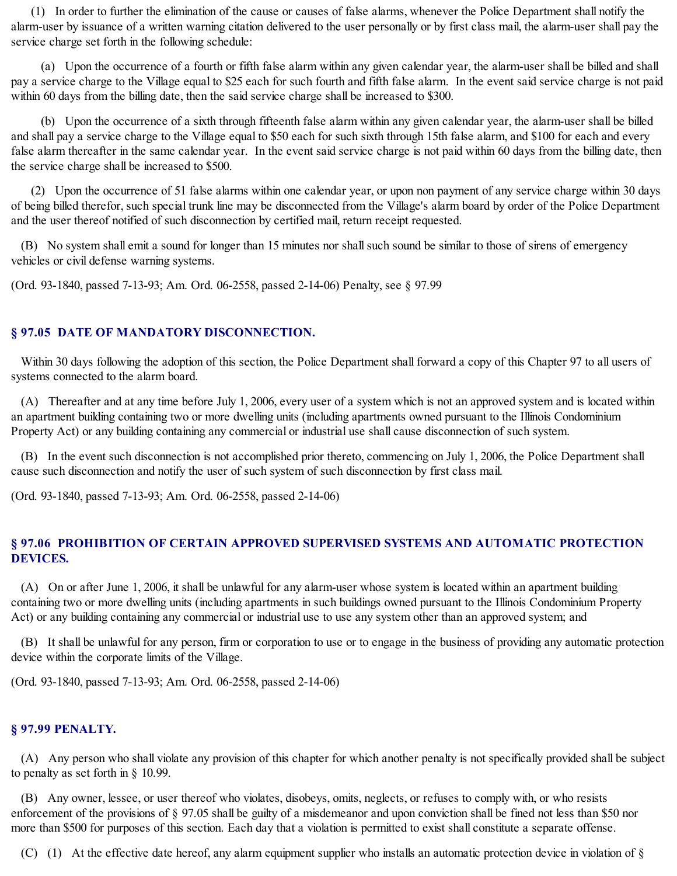(1) In order to further the elimination of the cause or causes of false alarms, whenever the Police Department shall notify the alarm-user by issuance of a written warning citation delivered to the user personally or by first class mail, the alarm-user shall pay the service charge set forth in the following schedule:

(a) Upon the occurrence of a fourth or fifth false alarm within any given calendar year, the alarm-user shall be billed and shall pay a service charge to the Village equal to \$25 each for such fourth and fifth false alarm. In the event said service charge is not paid within 60 days from the billing date, then the said service charge shall be increased to \$300.

(b) Upon the occurrence of a sixth through fifteenth false alarm within any given calendar year, the alarm-user shall be billed and shall pay a service charge to the Village equal to \$50 each for such sixth through 15th false alarm, and \$100 for each and every false alarm thereafter in the same calendar year. In the event said service charge is not paid within 60 days from the billing date, then the service charge shall be increased to \$500.

(2) Upon the occurrence of 51 false alarms within one calendar year, or upon non payment of any service charge within 30 days of being billed therefor, such special trunk line may be disconnected from the Village's alarm board by order of the Police Department and the user thereof notified of such disconnection by certified mail, return receipt requested.

(B) No system shall emit a sound for longer than 15 minutes nor shallsuch sound be similar to those of sirens of emergency vehicles or civil defense warning systems.

(Ord. 93-1840, passed 7-13-93; Am. Ord. 06-2558, passed 2-14-06) Penalty, see § 97.99

### **§ 97.05 DATE OF MANDATORY DISCONNECTION.**

Within 30 days following the adoption of this section, the Police Department shall forward a copy of this Chapter 97 to all users of systems connected to the alarm board.

(A) Thereafter and at any time before July 1, 2006, every user of a system which is not an approved system and is located within an apartment building containing two or more dwelling units (including apartments owned pursuant to the Illinois Condominium Property Act) or any building containing any commercial or industrial use shall cause disconnection of such system.

(B) In the event such disconnection is not accomplished prior thereto, commencing on July 1, 2006, the Police Department shall cause such disconnection and notify the user of such system of such disconnection by first class mail.

(Ord. 93-1840, passed 7-13-93; Am. Ord. 06-2558, passed 2-14-06)

# **§ 97.06 PROHIBITION OF CERTAIN APPROVED SUPERVISED SYSTEMS AND AUTOMATIC PROTECTION DEVICES.**

(A) On or after June 1, 2006, it shall be unlawful for any alarm-user whose system is located within an apartment building containing two or more dwelling units (including apartments in such buildings owned pursuant to the Illinois Condominium Property Act) or any building containing any commercial or industrial use to use any system other than an approved system; and

(B) It shall be unlawful for any person, firm or corporation to use or to engage in the business of providing any automatic protection device within the corporate limits of the Village.

(Ord. 93-1840, passed 7-13-93; Am. Ord. 06-2558, passed 2-14-06)

### **§ 97.99 PENALTY.**

(A) Any person who shall violate any provision of this chapter for which another penalty is not specifically provided shall be subject to penalty as set forth in § 10.99.

(B) Any owner, lessee, or user thereof who violates, disobeys, omits, neglects, or refuses to comply with, or who resists enforcement of the provisions of § 97.05 shall be guilty of a misdemeanor and upon conviction shall be fined not less than \$50 nor more than \$500 for purposes of this section. Each day that a violation is permitted to exist shall constitute a separate offense.

(C) (1) At the effective date hereof, any alarm equipment supplier who installs an automatic protection device in violation of  $\S$